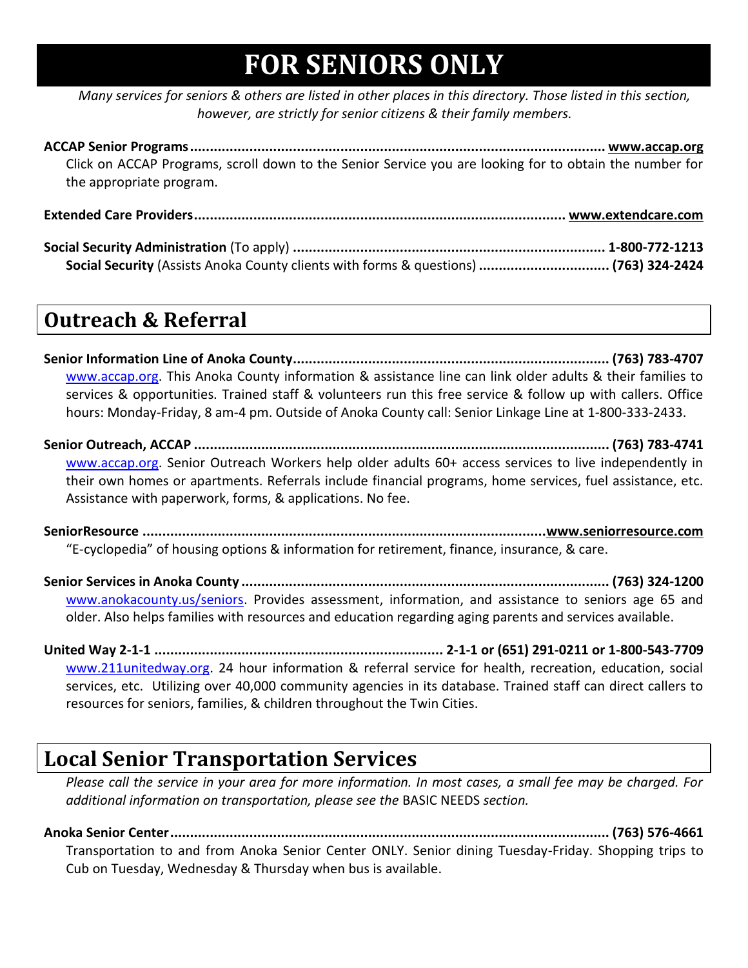# **FOR SENIORS ONLY**

*Many services for seniors & others are listed in other places in this directory. Those listed in this section, however, are strictly for senior citizens & their family members.*

**ACCAP Senior Programs......................................................................................................... www.accap.org** Click on ACCAP Programs, scroll down to the Senior Service you are looking for to obtain the number for the appropriate program.

**Extended Care Providers.............................................................................................. www.extendcare.com Social Security Administration** (To apply) **............................................................................... 1-800-772-1213 Social Security** (Assists Anoka County clients with forms & questions) **................................. (763) 324-2424**

### **Outreach & Referral**

**Senior Information Line of Anoka County................................................................................ (763) 783-4707** [www.accap.org.](http://www.accap.org/) This Anoka County information & assistance line can link older adults & their families to services & opportunities. Trained staff & volunteers run this free service & follow up with callers. Office hours: Monday-Friday, 8 am-4 pm. Outside of Anoka County call: Senior Linkage Line at 1-800-333-2433.

**Senior Outreach, ACCAP ......................................................................................................... (763) 783-4741** [www.accap.org.](http://www.accap.org/) Senior Outreach Workers help older adults 60+ access services to live independently in their own homes or apartments. Referrals include financial programs, home services, fuel assistance, etc. Assistance with paperwork, forms, & applications. No fee.

**SeniorResource ......................................................................................................www.seniorresource.com** "E-cyclopedia" of housing options & information for retirement, finance, insurance, & care.

**Senior Services in Anoka County ............................................................................................. (763) 324-1200** [www.anokacounty.us/seniors.](http://www.anokacounty.us/seniors) Provides assessment, information, and assistance to seniors age 65 and older. Also helps families with resources and education regarding aging parents and services available.

**United Way 2-1-1 ......................................................................... 2-1-1 or (651) 291-0211 or 1-800-543-7709** [www.211unitedway.org.](http://www.211unitedway.org/) 24 hour information & referral service for health, recreation, education, social services, etc. Utilizing over 40,000 community agencies in its database. Trained staff can direct callers to resources for seniors, families, & children throughout the Twin Cities.

### **Local Senior Transportation Services**

*Please call the service in your area for more information. In most cases, a small fee may be charged. For additional information on transportation, please see the* BASIC NEEDS *section.*

**Anoka Senior Center............................................................................................................... (763) 576-4661** Transportation to and from Anoka Senior Center ONLY. Senior dining Tuesday-Friday. Shopping trips to Cub on Tuesday, Wednesday & Thursday when bus is available.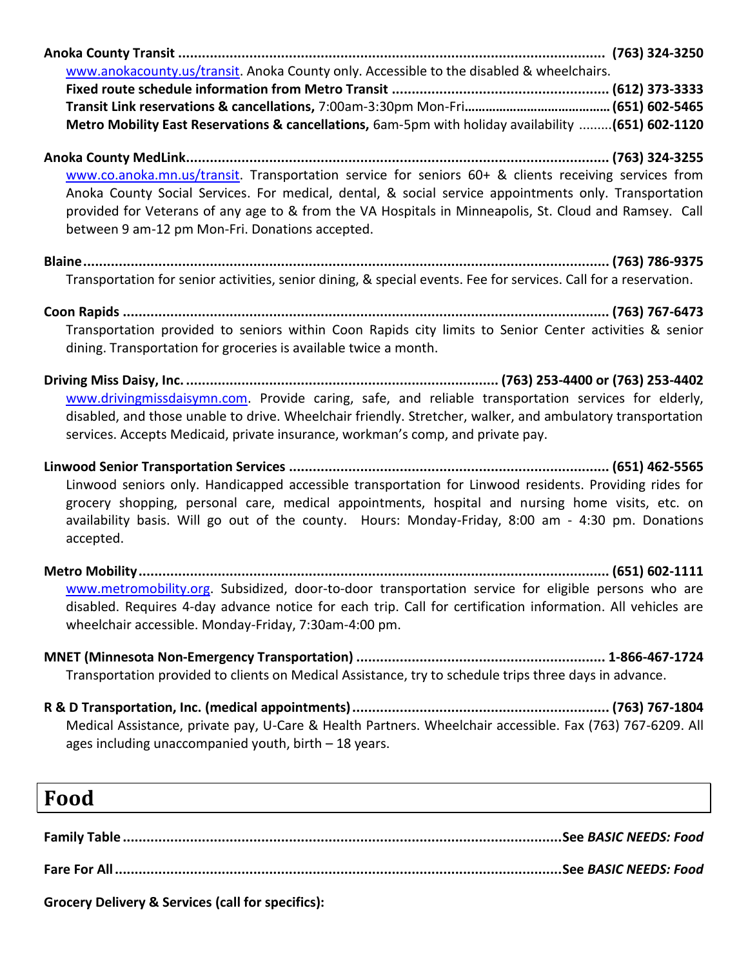**Anoka County Transit ............................................................................................................ (763) 324-3250** [www.anokacounty.us/transit.](http://www.anokacounty.us/transit) Anoka County only. Accessible to the disabled & wheelchairs.

**Fixed route schedule information from Metro Transit ....................................................... (612) 373-3333 Transit Link reservations & cancellations,** 7:00am-3:30pm Mon-Fri**…………………………………… (651) 602-5465 Metro Mobility East Reservations & cancellations,** 6am-5pm with holiday availability .........**(651) 602-1120**

- **Anoka County MedLink........................................................................................................... (763) 324-3255** [www.co.anoka.mn.us/transit.](http://www.co.anoka.mn.us/transit) Transportation service for seniors 60+ & clients receiving services from Anoka County Social Services. For medical, dental, & social service appointments only. Transportation provided for Veterans of any age to & from the VA Hospitals in Minneapolis, St. Cloud and Ramsey. Call between 9 am-12 pm Mon-Fri. Donations accepted.
- **Blaine..................................................................................................................................... (763) 786-9375** Transportation for senior activities, senior dining, & special events. Fee for services. Call for a reservation.

**Coon Rapids ........................................................................................................................... (763) 767-6473** Transportation provided to seniors within Coon Rapids city limits to Senior Center activities & senior dining. Transportation for groceries is available twice a month.

- **Driving Miss Daisy, Inc. ............................................................................... (763) 253-4400 or (763) 253-4402** [www.drivingmissdaisymn.com.](http://www.drivingmissdaisymn.com/) Provide caring, safe, and reliable transportation services for elderly, disabled, and those unable to drive. Wheelchair friendly. Stretcher, walker, and ambulatory transportation services. Accepts Medicaid, private insurance, workman's comp, and private pay.
- **Linwood Senior Transportation Services ................................................................................. (651) 462-5565** Linwood seniors only. Handicapped accessible transportation for Linwood residents. Providing rides for grocery shopping, personal care, medical appointments, hospital and nursing home visits, etc. on availability basis. Will go out of the county. Hours: Monday-Friday, 8:00 am - 4:30 pm. Donations accepted.
- **Metro Mobility....................................................................................................................... (651) 602-1111** [www.metromobility.org.](http://www.metromobility.org/) Subsidized, door-to-door transportation service for eligible persons who are disabled. Requires 4-day advance notice for each trip. Call for certification information. All vehicles are wheelchair accessible. Monday-Friday, 7:30am-4:00 pm.
- **MNET (Minnesota Non-Emergency Transportation) ............................................................... 1-866-467-1724** Transportation provided to clients on Medical Assistance, try to schedule trips three days in advance.
- **R & D Transportation, Inc. (medical appointments)................................................................. (763) 767-1804** Medical Assistance, private pay, U-Care & Health Partners. Wheelchair accessible. Fax (763) 767-6209. All ages including unaccompanied youth, birth – 18 years.

| Food |  |
|------|--|
|      |  |
|      |  |
|      |  |

**Grocery Delivery & Services (call for specifics):**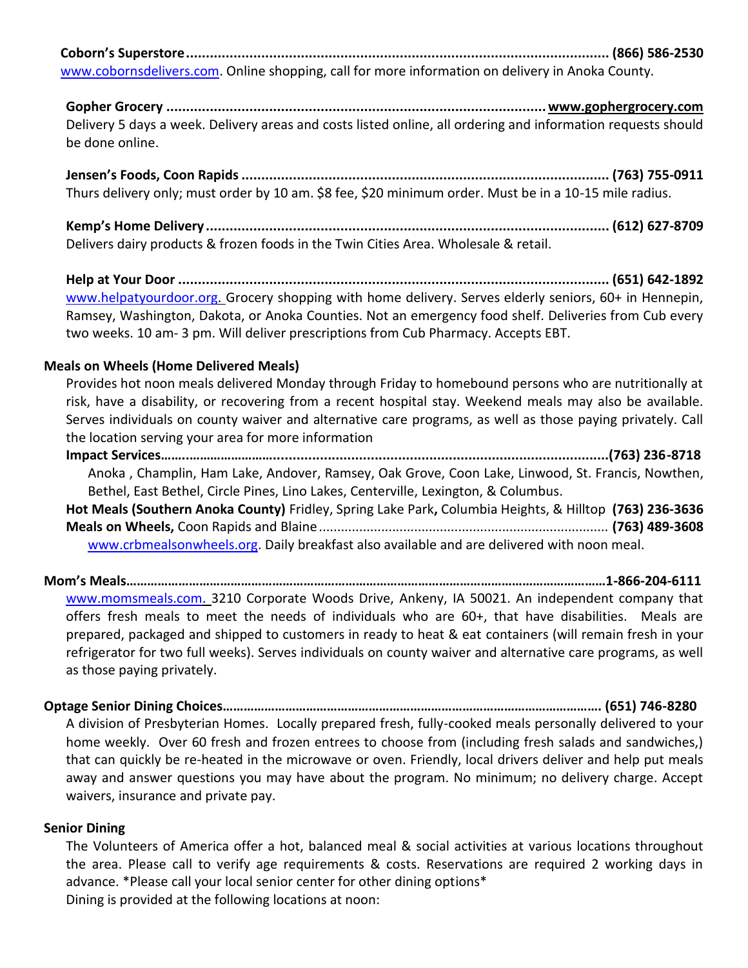**Coborn's Superstore........................................................................................................... (866) 586-2530**

[www.cobornsdelivers.com.](http://www.cobornsdelivers.com/) Online shopping, call for more information on delivery in Anoka County.

**Gopher Grocery ................................................................................................www.gophergrocery.com** Delivery 5 days a week. Delivery areas and costs listed online, all ordering and information requests should be done online.

**Jensen's Foods, Coon Rapids............................................................................................. (763) 755-0911** Thurs delivery only; must order by 10 am. \$8 fee, \$20 minimum order. Must be in a 10-15 mile radius.

**Kemp's Home Delivery...................................................................................................... (612) 627-8709** Delivers dairy products & frozen foods in the Twin Cities Area. Wholesale & retail.

**Help at Your Door ............................................................................................................. (651) 642-1892** [www.helpatyourdoor.org.](http://www.helpatyourdoor.org/) Grocery shopping with home delivery. Serves elderly seniors, 60+ in Hennepin, Ramsey, Washington, Dakota, or Anoka Counties. Not an emergency food shelf. Deliveries from Cub every two weeks. 10 am- 3 pm. Will deliver prescriptions from Cub Pharmacy. Accepts EBT.

#### **Meals on Wheels (Home Delivered Meals)**

Provides hot noon meals delivered Monday through Friday to homebound persons who are nutritionally at risk, have a disability, or recovering from a recent hospital stay. Weekend meals may also be available. Serves individuals on county waiver and alternative care programs, as well as those paying privately. Call the location serving your area for more information

**Impact Services……..……………………......................................................................................(763) 236-8718** Anoka , Champlin, Ham Lake, Andover, Ramsey, Oak Grove, Coon Lake, Linwood, St. Francis, Nowthen, Bethel, East Bethel, Circle Pines, Lino Lakes, Centerville, Lexington, & Columbus. **Hot Meals (Southern Anoka County)** Fridley, Spring Lake Park**,** Columbia Heights, & Hilltop **(763) 236-3636 Meals on Wheels,** Coon Rapids and Blaine............................................................................... **(763) 489-3608** [www.crbmealsonwheels.org.](http://www.crbmealsonwheels.org/) Daily breakfast also available and are delivered with noon meal.

**Mom's Meals…………………………………………………………………………………………………………………………1-866-204-6111** [www.momsmeals.com.](http://www.momsmeals.com/) 3210 Corporate Woods Drive, Ankeny, IA 50021. An independent company that offers fresh meals to meet the needs of individuals who are 60+, that have disabilities. Meals are prepared, packaged and shipped to customers in ready to heat & eat containers (will remain fresh in your refrigerator for two full weeks). Serves individuals on county waiver and alternative care programs, as well as those paying privately.

**Optage Senior Dining Choices………………………………………………………………………………………………. (651) 746-8280**

A division of Presbyterian Homes. Locally prepared fresh, fully-cooked meals personally delivered to your home weekly. Over 60 fresh and frozen entrees to choose from (including fresh salads and sandwiches,) that can quickly be re-heated in the microwave or oven. Friendly, local drivers deliver and help put meals away and answer questions you may have about the program. No minimum; no delivery charge. Accept waivers, insurance and private pay.

#### **Senior Dining**

The Volunteers of America offer a hot, balanced meal & social activities at various locations throughout the area. Please call to verify age requirements & costs. Reservations are required 2 working days in advance. \*Please call your local senior center for other dining options\* Dining is provided at the following locations at noon: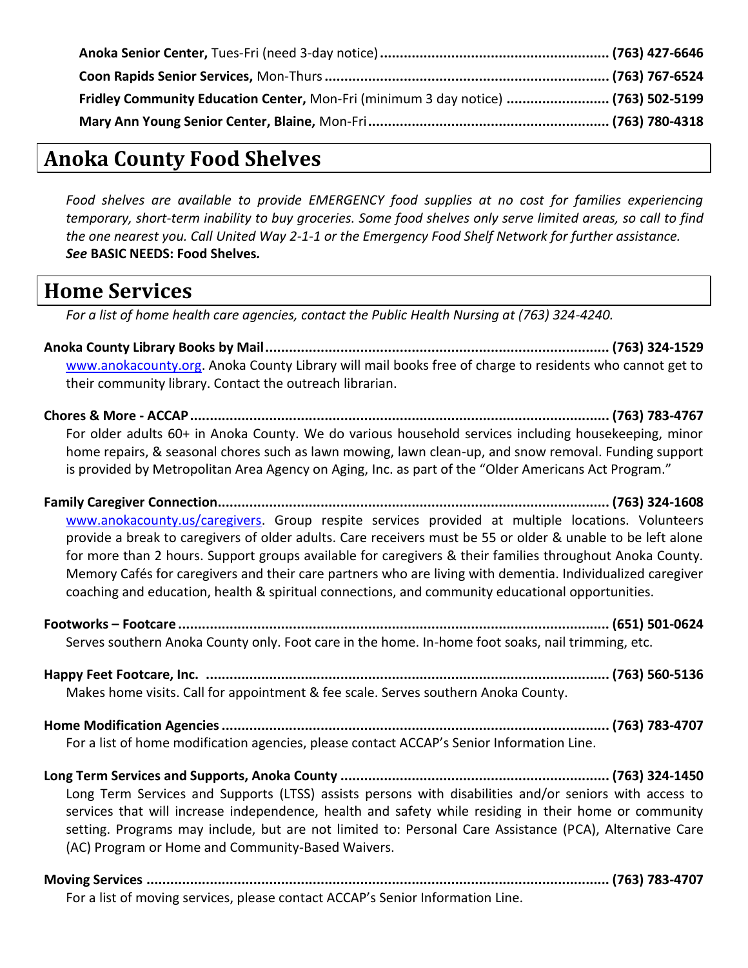| Fridley Community Education Center, Mon-Fri (minimum 3 day notice)  (763) 502-5199 |  |
|------------------------------------------------------------------------------------|--|
|                                                                                    |  |

### **Anoka County Food Shelves**

*Food shelves are available to provide EMERGENCY food supplies at no cost for families experiencing temporary, short-term inability to buy groceries. Some food shelves only serve limited areas, so call to find the one nearest you. Call United Way 2-1-1 or the Emergency Food Shelf Network for further assistance. See* **BASIC NEEDS: Food Shelves***.*

### **Home Services**

*For a list of home health care agencies, contact the Public Health Nursing at (763) 324-4240.*

- **Anoka County Library Books by Mail....................................................................................... (763) 324-1529** [www.anokacounty.org.](http://www.anokacounty.org/) Anoka County Library will mail books free of charge to residents who cannot get to their community library. Contact the outreach librarian.
- **Chores & More - ACCAP.......................................................................................................... (763) 783-4767** For older adults 60+ in Anoka County. We do various household services including housekeeping, minor home repairs, & seasonal chores such as lawn mowing, lawn clean-up, and snow removal. Funding support is provided by Metropolitan Area Agency on Aging, Inc. as part of the "Older Americans Act Program."
- **Family Caregiver Connection................................................................................................... (763) 324-1608** [www.anokacounty.us/caregivers.](http://www.anokacounty.us/caregivers) Group respite services provided at multiple locations. Volunteers provide a break to caregivers of older adults. Care receivers must be 55 or older & unable to be left alone for more than 2 hours. Support groups available for caregivers & their families throughout Anoka County. Memory Cafés for caregivers and their care partners who are living with dementia. Individualized caregiver coaching and education, health & spiritual connections, and community educational opportunities.
- **Footworks – Footcare ............................................................................................................. (651) 501-0624** Serves southern Anoka County only. Foot care in the home. In-home foot soaks, nail trimming, etc.
- **Happy Feet Footcare, Inc. ...................................................................................................... (763) 560-5136** Makes home visits. Call for appointment & fee scale. Serves southern Anoka County.
- **Home Modification Agencies.................................................................................................. (763) 783-4707** For a list of home modification agencies, please contact ACCAP's Senior Information Line.
- **Long Term Services and Supports, Anoka County .................................................................... (763) 324-1450** Long Term Services and Supports (LTSS) assists persons with disabilities and/or seniors with access to services that will increase independence, health and safety while residing in their home or community setting. Programs may include, but are not limited to: Personal Care Assistance (PCA), Alternative Care (AC) Program or Home and Community-Based Waivers.
- **Moving Services ..................................................................................................................... (763) 783-4707** For a list of moving services, please contact ACCAP's Senior Information Line.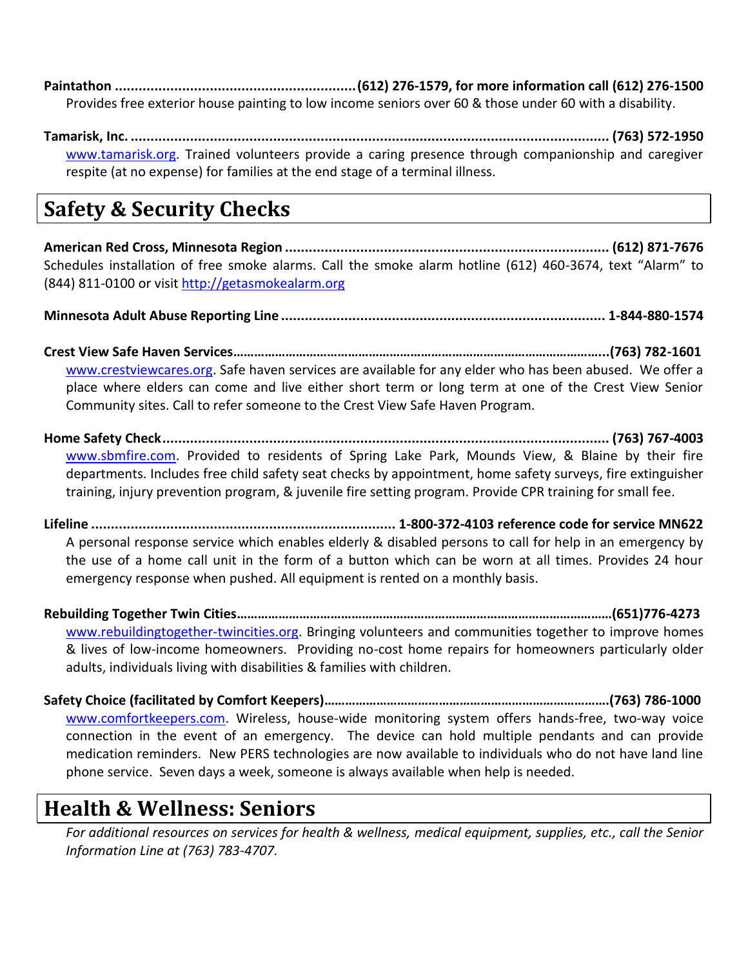**Paintathon .............................................................(612) 276-1579, for more information call (612) 276-1500** Provides free exterior house painting to low income seniors over 60 & those under 60 with a disability.

**Tamarisk, Inc. ......................................................................................................................... (763) 572-1950** [www.tamarisk.org.](http://www.tamarisk.org/) Trained volunteers provide a caring presence through companionship and caregiver respite (at no expense) for families at the end stage of a terminal illness.

# **Safety & Security Checks**

**American Red Cross, Minnesota Region .................................................................................. (612) 871-7676** Schedules installation of free smoke alarms. Call the smoke alarm hotline (612) 460-3674, text "Alarm" to (844) 811-0100 or visit [http://getasmokealarm.org](http://getasmokealarm.org/)

**Minnesota Adult Abuse Reporting Line .................................................................................. 1-844-880-1574**

**Crest View Safe Haven Services……………………………………………………………………………………………...(763) 782-1601** [www.crestviewcares.org.](http://www.crestviewcares.org/) Safe haven services are available for any elder who has been abused. We offer a place where elders can come and live either short term or long term at one of the Crest View Senior Community sites. Call to refer someone to the Crest View Safe Haven Program.

**Home Safety Check................................................................................................................. (763) 767-4003** [www.sbmfire.com.](http://www.sbmfire.com/) Provided to residents of Spring Lake Park, Mounds View, & Blaine by their fire departments. Includes free child safety seat checks by appointment, home safety surveys, fire extinguisher training, injury prevention program, & juvenile fire setting program. Provide CPR training for small fee.

**Lifeline ............................................................................. 1-800-372-4103 reference code for service MN622** A personal response service which enables elderly & disabled persons to call for help in an emergency by the use of a home call unit in the form of a button which can be worn at all times. Provides 24 hour emergency response when pushed. All equipment is rented on a monthly basis.

**Rebuilding Together Twin Cities………………………………………………………………………………………………(651)776-4273** [www.rebuildingtogether-twincities.org.](http://www.rebuildingtogether-twincities.org/) Bringing volunteers and communities together to improve homes & lives of low-income homeowners. Providing no-cost home repairs for homeowners particularly older adults, individuals living with disabilities & families with children.

**Safety Choice (facilitated by Comfort Keepers)……………………………………………………………………….(763) 786-1000** [www.comfortkeepers.com.](http://www.comfortkeepers.com/) Wireless, house-wide monitoring system offers hands-free, two-way voice connection in the event of an emergency. The device can hold multiple pendants and can provide medication reminders. New PERS technologies are now available to individuals who do not have land line phone service. Seven days a week, someone is always available when help is needed.

### **Health & Wellness: Seniors**

*For additional resources on services for health & wellness, medical equipment, supplies, etc., call the Senior Information Line at (763) 783-4707.*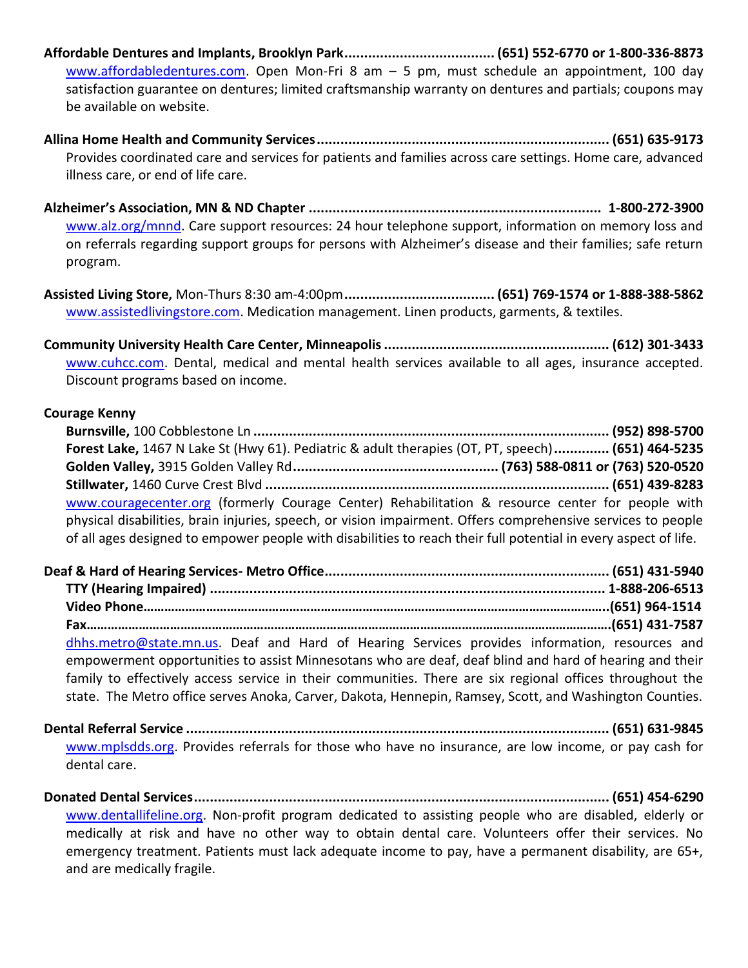**Affordable Dentures and Implants, Brooklyn Park...................................... (651) 552-6770 or 1-800-336-8873** [www.affordabledentures.com.](http://www.affordabledentures.com/) Open Mon-Fri 8 am  $-$  5 pm, must schedule an appointment, 100 day satisfaction guarantee on dentures; limited craftsmanship warranty on dentures and partials; coupons may be available on website.

**Allina Home Health and Community Services.......................................................................... (651) 635-9173** Provides coordinated care and services for patients and families across care settings. Home care, advanced illness care, or end of life care.

**Alzheimer's Association, MN & ND Chapter .......................................................................... 1-800-272-3900** [www.alz.org/mnnd.](http://www.alz.org/mnnd) Care support resources: 24 hour telephone support, information on memory loss and on referrals regarding support groups for persons with Alzheimer's disease and their families; safe return program.

**Assisted Living Store,** Mon-Thurs 8:30 am-4:00pm**...................................... (651) 769-1574 or 1-888-388-5862** [www.assistedlivingstore.com.](http://www.assistedlivingstore.com/) Medication management. Linen products, garments, & textiles.

**Community University Health Care Center, Minneapolis......................................................... (612) 301-3433** [www.cuhcc.com.](http://www.cuhcc.com/) Dental, medical and mental health services available to all ages, insurance accepted. Discount programs based on income.

#### **Courage Kenny**

| Forest Lake, 1467 N Lake St (Hwy 61). Pediatric & adult therapies (OT, PT, speech) (651) 464-5235               |
|-----------------------------------------------------------------------------------------------------------------|
|                                                                                                                 |
|                                                                                                                 |
| www.couragecenter.org (formerly Courage Center) Rehabilitation & resource center for people with                |
| physical disabilities, brain injuries, speech, or vision impairment. Offers comprehensive services to people    |
| of all ages designed to empower people with disabilities to reach their full potential in every aspect of life. |

| dhhs.metro@state.mn.us. Deaf and Hard of Hearing Services provides information, resources and            |  |
|----------------------------------------------------------------------------------------------------------|--|
| empowerment opportunities to assist Minnesotans who are deaf, deaf blind and hard of hearing and their   |  |
| family to effectively access service in their communities. There are six regional offices throughout the |  |
| state. The Metro office serves Anoka, Carver, Dakota, Hennepin, Ramsey, Scott, and Washington Counties.  |  |

**Dental Referral Service ........................................................................................................... (651) 631-9845** [www.mplsdds.org.](http://www.mplsdds.org/) Provides referrals for those who have no insurance, are low income, or pay cash for dental care.

**Donated Dental Services......................................................................................................... (651) 454-6290** [www.dentallifeline.org.](http://www.dentallifeline.org/) Non-profit program dedicated to assisting people who are disabled, elderly or medically at risk and have no other way to obtain dental care. Volunteers offer their services. No emergency treatment. Patients must lack adequate income to pay, have a permanent disability, are 65+, and are medically fragile.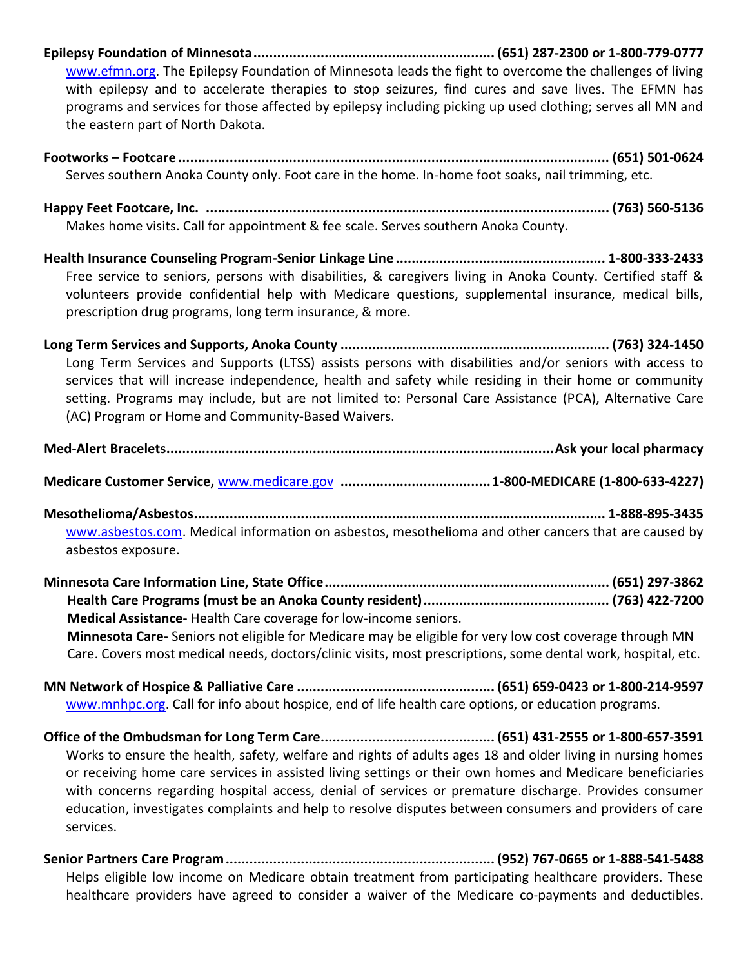- **Epilepsy Foundation of Minnesota............................................................. (651) 287-2300 or 1-800-779-0777** [www.efmn.org.](http://www.efmn.org/) The Epilepsy Foundation of Minnesota leads the fight to overcome the challenges of living with epilepsy and to accelerate therapies to stop seizures, find cures and save lives. The EFMN has programs and services for those affected by epilepsy including picking up used clothing; serves all MN and the eastern part of North Dakota.
- **Footworks – Footcare ............................................................................................................. (651) 501-0624** Serves southern Anoka County only. Foot care in the home. In-home foot soaks, nail trimming, etc.

**Happy Feet Footcare, Inc. ...................................................................................................... (763) 560-5136** Makes home visits. Call for appointment & fee scale. Serves southern Anoka County.

**Health Insurance Counseling Program-Senior Linkage Line ..................................................... 1-800-333-2433** Free service to seniors, persons with disabilities, & caregivers living in Anoka County. Certified staff & volunteers provide confidential help with Medicare questions, supplemental insurance, medical bills, prescription drug programs, long term insurance, & more.

**Long Term Services and Supports, Anoka County .................................................................... (763) 324-1450** Long Term Services and Supports (LTSS) assists persons with disabilities and/or seniors with access to services that will increase independence, health and safety while residing in their home or community setting. Programs may include, but are not limited to: Personal Care Assistance (PCA), Alternative Care (AC) Program or Home and Community-Based Waivers.

**Med-Alert Bracelets..................................................................................................Ask your local pharmacy**

**Medicare Customer Service,** [www.medicare.gov](http://www.medicare.gov/) **......................................1-800-MEDICARE (1-800-633-4227)**

**Mesothelioma/Asbestos........................................................................................................ 1-888-895-3435** [www.asbestos.com.](http://www.asbestos.com/) Medical information on asbestos, mesothelioma and other cancers that are caused by asbestos exposure.

**Minnesota Care Information Line, State Office........................................................................ (651) 297-3862 Health Care Programs (must be an Anoka County resident)............................................... (763) 422-7200 Medical Assistance-** Health Care coverage for low-income seniors.

 **Minnesota Care-** Seniors not eligible for Medicare may be eligible for very low cost coverage through MN Care. Covers most medical needs, doctors/clinic visits, most prescriptions, some dental work, hospital, etc.

**MN Network of Hospice & Palliative Care .................................................. (651) 659-0423 or 1-800-214-9597** [www.mnhpc.org.](http://www.mnhpc.org/) Call for info about hospice, end of life health care options, or education programs.

- **Office of the Ombudsman for Long Term Care............................................ (651) 431-2555 or 1-800-657-3591** Works to ensure the health, safety, welfare and rights of adults ages 18 and older living in nursing homes or receiving home care services in assisted living settings or their own homes and Medicare beneficiaries with concerns regarding hospital access, denial of services or premature discharge. Provides consumer education, investigates complaints and help to resolve disputes between consumers and providers of care services.
- **Senior Partners Care Program.................................................................... (952) 767-0665 or 1-888-541-5488** Helps eligible low income on Medicare obtain treatment from participating healthcare providers. These healthcare providers have agreed to consider a waiver of the Medicare co-payments and deductibles.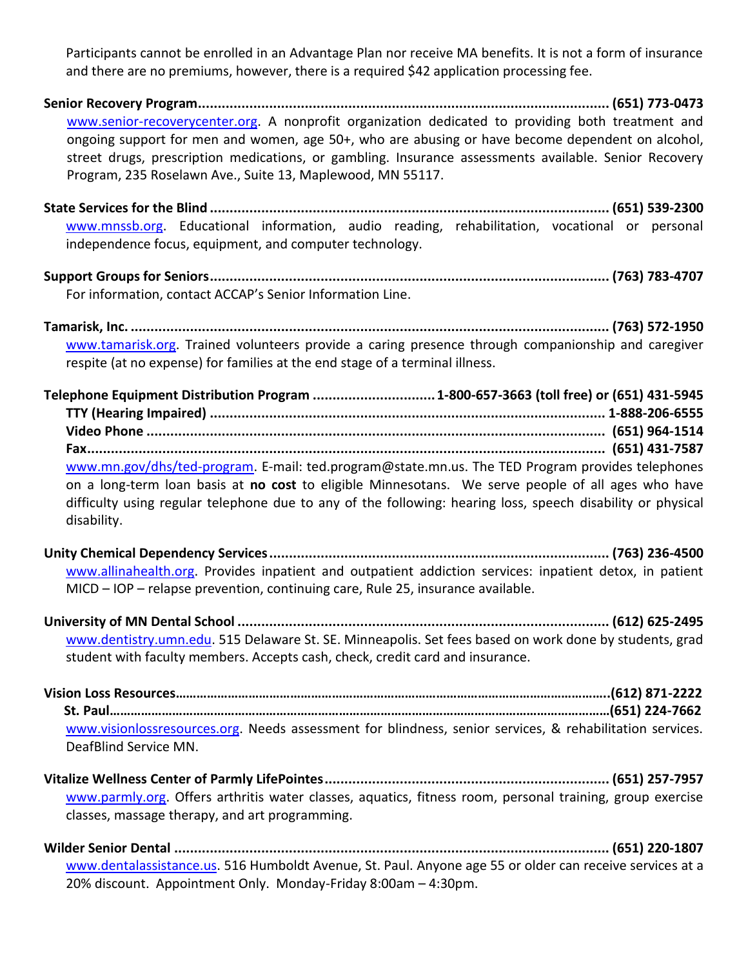Participants cannot be enrolled in an Advantage Plan nor receive MA benefits. It is not a form of insurance and there are no premiums, however, there is a required \$42 application processing fee.

**Senior Recovery Program........................................................................................................ (651) 773-0473** [www.senior-recoverycenter.org.](http://www.senior-recoverycenter.org/) A nonprofit organization dedicated to providing both treatment and ongoing support for men and women, age 50+, who are abusing or have become dependent on alcohol, street drugs, prescription medications, or gambling. Insurance assessments available. Senior Recovery Program, 235 Roselawn Ave., Suite 13, Maplewood, MN 55117.

**State Services for the Blind ..................................................................................................... (651) 539-2300** [www.mnssb.org.](http://www.mnssb.org/) Educational information, audio reading, rehabilitation, vocational or personal independence focus, equipment, and computer technology.

**Support Groups for Seniors..................................................................................................... (763) 783-4707** For information, contact ACCAP's Senior Information Line.

**Tamarisk, Inc. ......................................................................................................................... (763) 572-1950** [www.tamarisk.org.](http://www.tamarisk.org/) Trained volunteers provide a caring presence through companionship and caregiver respite (at no expense) for families at the end stage of a terminal illness.

| Telephone Equipment Distribution Program  1-800-657-3663 (toll free) or (651) 431-5945                      |  |
|-------------------------------------------------------------------------------------------------------------|--|
|                                                                                                             |  |
|                                                                                                             |  |
|                                                                                                             |  |
| www.mn.gov/dhs/ted-program. E-mail: ted.program@state.mn.us. The TED Program provides telephones            |  |
| on a long-term loan basis at no cost to eligible Minnesotans. We serve people of all ages who have          |  |
| difficulty using regular telephone due to any of the following: hearing loss, speech disability or physical |  |
| disability.                                                                                                 |  |

**Unity Chemical Dependency Services...................................................................................... (763) 236-4500** [www.allinahealth.org.](http://www.allinahealth.org/) Provides inpatient and outpatient addiction services: inpatient detox, in patient MICD – IOP – relapse prevention, continuing care, Rule 25, insurance available.

**University of MN Dental School .............................................................................................. (612) 625-2495** [www.dentistry.umn.edu.](http://www.dentistry.umn.edu/) 515 Delaware St. SE. Minneapolis. Set fees based on work done by students, grad student with faculty members. Accepts cash, check, credit card and insurance.

**Vision Loss Resources……………………………………………………………………………………………………………..(612) 871-2222 St. Paul………………………………………………………………………………………………………………………………(651) 224-7662** [www.visionlossresources.org.](http://www.visionlossresources.org/) Needs assessment for blindness, senior services, & rehabilitation services. DeafBlind Service MN.

**Vitalize Wellness Center of Parmly LifePointes........................................................................ (651) 257-7957** [www.parmly.org.](http://www.parmly.org/) Offers arthritis water classes, aquatics, fitness room, personal training, group exercise classes, massage therapy, and art programming.

**Wilder Senior Dental .............................................................................................................. (651) 220-1807** [www.dentalassistance.us.](http://www.dentalassistance.us/) 516 Humboldt Avenue, St. Paul. Anyone age 55 or older can receive services at a 20% discount. Appointment Only. Monday-Friday 8:00am – 4:30pm.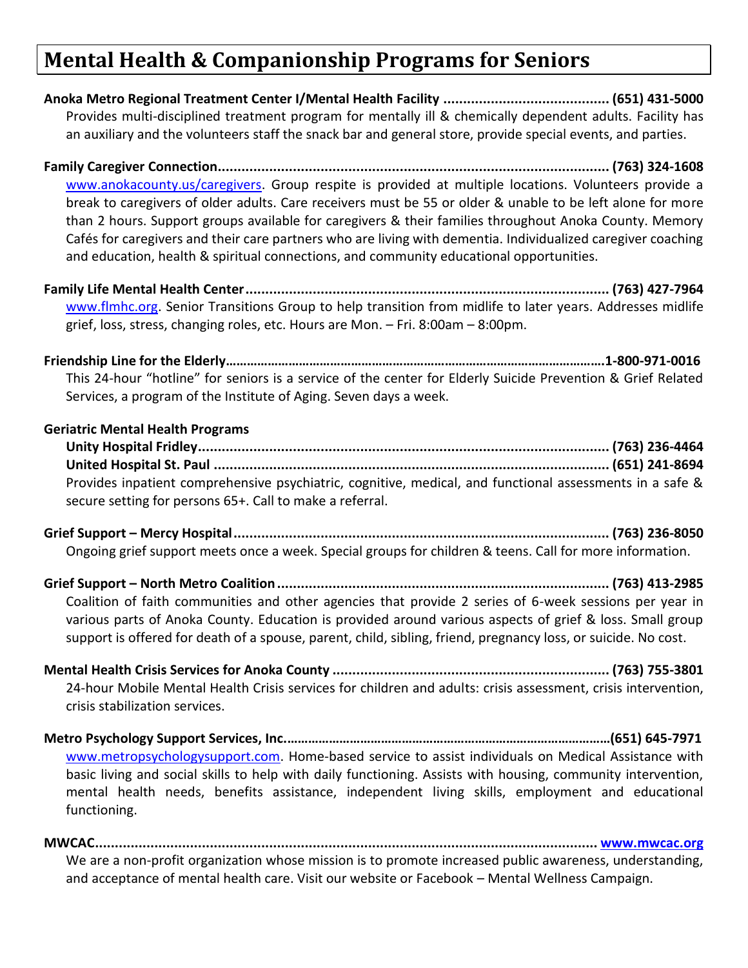# **Mental Health & Companionship Programs for Seniors**

**Anoka Metro Regional Treatment Center I/Mental Health Facility .......................................... (651) 431-5000** Provides multi-disciplined treatment program for mentally ill & chemically dependent adults. Facility has an auxiliary and the volunteers staff the snack bar and general store, provide special events, and parties.

**Family Caregiver Connection................................................................................................... (763) 324-1608** [www.anokacounty.us/caregivers.](http://www.anokacounty.us/caregivers) Group respite is provided at multiple locations. Volunteers provide a break to caregivers of older adults. Care receivers must be 55 or older & unable to be left alone for more than 2 hours. Support groups available for caregivers & their families throughout Anoka County. Memory Cafés for caregivers and their care partners who are living with dementia. Individualized caregiver coaching and education, health & spiritual connections, and community educational opportunities.

**Family Life Mental Health Center............................................................................................ (763) 427-7964** [www.flmhc.org.](http://www.flmhc.org/) Senior Transitions Group to help transition from midlife to later years. Addresses midlife grief, loss, stress, changing roles, etc. Hours are Mon. – Fri. 8:00am – 8:00pm.

**Friendship Line for the Elderly……………………………………………………………………………………………….1-800-971-0016** This 24-hour "hotline" for seniors is a service of the center for Elderly Suicide Prevention & Grief Related Services, a program of the Institute of Aging. Seven days a week.

#### **Geriatric Mental Health Programs**

**Unity Hospital Fridley........................................................................................................ (763) 236-4464 United Hospital St. Paul .................................................................................................... (651) 241-8694** Provides inpatient comprehensive psychiatric, cognitive, medical, and functional assessments in a safe & secure setting for persons 65+. Call to make a referral.

**Grief Support – Mercy Hospital............................................................................................... (763) 236-8050** Ongoing grief support meets once a week. Special groups for children & teens. Call for more information.

**Grief Support – North Metro Coalition.................................................................................... (763) 413-2985** Coalition of faith communities and other agencies that provide 2 series of 6-week sessions per year in various parts of Anoka County. Education is provided around various aspects of grief & loss. Small group support is offered for death of a spouse, parent, child, sibling, friend, pregnancy loss, or suicide. No cost.

**Mental Health Crisis Services for Anoka County ...................................................................... (763) 755-3801** 24-hour Mobile Mental Health Crisis services for children and adults: crisis assessment, crisis intervention, crisis stabilization services.

**Metro Psychology Support Services, Inc.…………………………………………………………………………………(651) 645-7971** [www.metropsychologysupport.com.](http://www.metropsychologysupport.com/) Home-based service to assist individuals on Medical Assistance with basic living and social skills to help with daily functioning. Assists with housing, community intervention, mental health needs, benefits assistance, independent living skills, employment and educational functioning.

**MWCAC............................................................................................................................... [www.mwcac.org](http://www.mwcac.org/)** We are a non-profit organization whose mission is to promote increased public awareness, understanding, and acceptance of mental health care. Visit our website or Facebook – Mental Wellness Campaign.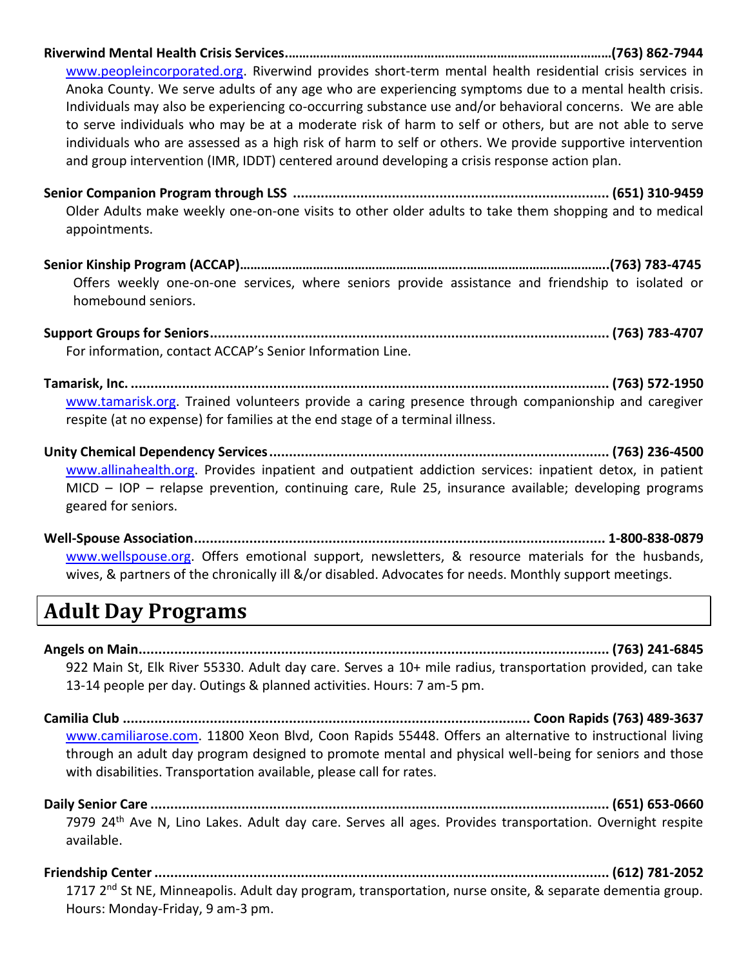**Riverwind Mental Health Crisis Services.…………………………………………………………………………………(763) 862-7944**

[www.peopleincorporated.org.](http://www.peopleincorporated.org/) Riverwind provides short-term mental health residential crisis services in Anoka County. We serve adults of any age who are experiencing symptoms due to a mental health crisis. Individuals may also be experiencing co-occurring substance use and/or behavioral concerns. We are able to serve individuals who may be at a moderate risk of harm to self or others, but are not able to serve individuals who are assessed as a high risk of harm to self or others. We provide supportive intervention and group intervention (IMR, IDDT) centered around developing a crisis response action plan.

**Senior Companion Program through LSS ................................................................................ (651) 310-9459** Older Adults make weekly one-on-one visits to other older adults to take them shopping and to medical appointments.

**Senior Kinship Program (ACCAP)………………………………………………………..…………………………………..(763) 783-4745** Offers weekly one-on-one services, where seniors provide assistance and friendship to isolated or homebound seniors.

**Support Groups for Seniors..................................................................................................... (763) 783-4707** For information, contact ACCAP's Senior Information Line.

**Tamarisk, Inc. ......................................................................................................................... (763) 572-1950** [www.tamarisk.org.](http://www.tamarisk.org/) Trained volunteers provide a caring presence through companionship and caregiver respite (at no expense) for families at the end stage of a terminal illness.

**Unity Chemical Dependency Services...................................................................................... (763) 236-4500** [www.allinahealth.org.](http://www.allinahealth.org/) Provides inpatient and outpatient addiction services: inpatient detox, in patient MICD – IOP – relapse prevention, continuing care, Rule 25, insurance available; developing programs geared for seniors.

**Well-Spouse Association........................................................................................................ 1-800-838-0879** [www.wellspouse.org.](http://www.wellspouse.org/) Offers emotional support, newsletters, & resource materials for the husbands, wives, & partners of the chronically ill &/or disabled. Advocates for needs. Monthly support meetings.

# **Adult Day Programs**

**Angels on Main....................................................................................................................... (763) 241-6845** 922 Main St, Elk River 55330. Adult day care. Serves a 10+ mile radius, transportation provided, can take 13-14 people per day. Outings & planned activities. Hours: 7 am-5 pm.

**Camilia Club ....................................................................................................... Coon Rapids (763) 489-3637** [www.camiliarose.com.](http://www.camiliarose.com/) 11800 Xeon Blvd, Coon Rapids 55448. Offers an alternative to instructional living through an adult day program designed to promote mental and physical well-being for seniors and those with disabilities. Transportation available, please call for rates.

**Daily Senior Care .................................................................................................................... (651) 653-0660** 7979 24th Ave N, Lino Lakes. Adult day care. Serves all ages. Provides transportation. Overnight respite available.

**Friendship Center................................................................................................................... (612) 781-2052** 1717 2<sup>nd</sup> St NE, Minneapolis. Adult day program, transportation, nurse onsite, & separate dementia group. Hours: Monday-Friday, 9 am-3 pm.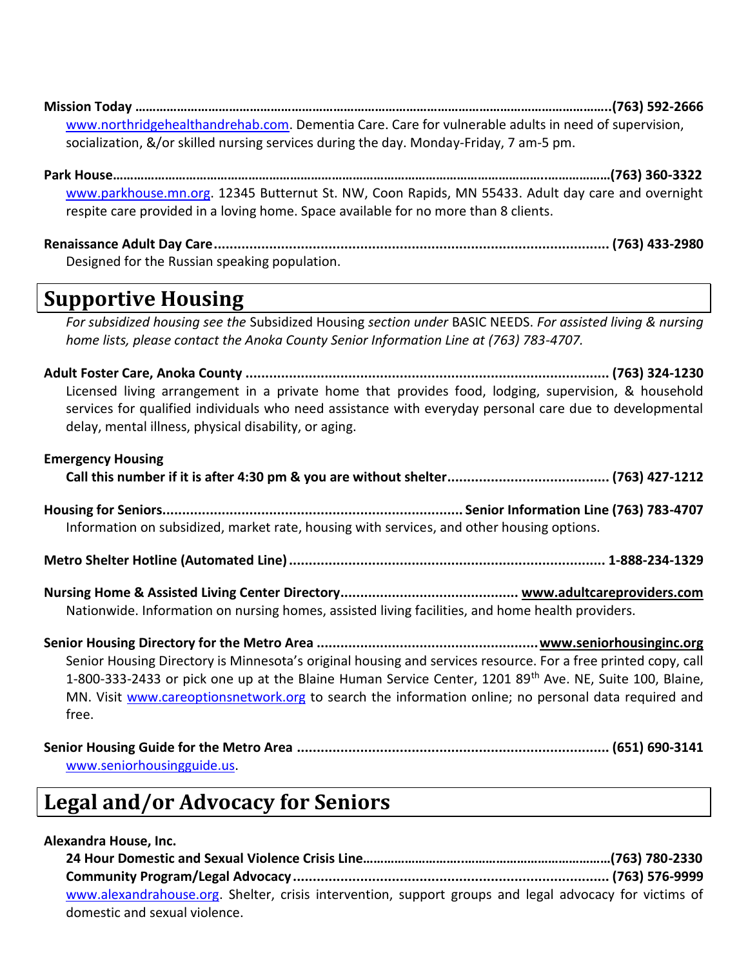**Mission Today ………………………………………………………………………………………………………………………..(763) 592-2666** [www.northridgehealthandrehab.com.](http://www.northridgehealthandrehab.com/) Dementia Care. Care for vulnerable adults in need of supervision, socialization, &/or skilled nursing services during the day. Monday-Friday, 7 am-5 pm.

**Park House……………………………………………………………………………………………………………..………………(763) 360-3322** [www.parkhouse.mn.org.](http://www.parkhouse.mn.org/) 12345 Butternut St. NW, Coon Rapids, MN 55433. Adult day care and overnight respite care provided in a loving home. Space available for no more than 8 clients.

**Renaissance Adult Day Care.................................................................................................... (763) 433-2980** Designed for the Russian speaking population.

### **Supportive Housing**

*For subsidized housing see the* Subsidized Housing *section under* BASIC NEEDS. *For assisted living & nursing home lists, please contact the Anoka County Senior Information Line at (763) 783-4707.*

**Adult Foster Care, Anoka County ............................................................................................ (763) 324-1230** Licensed living arrangement in a private home that provides food, lodging, supervision, & household services for qualified individuals who need assistance with everyday personal care due to developmental delay, mental illness, physical disability, or aging.

**Emergency Housing Call this number if it is after 4:30 pm & you are without shelter......................................... (763) 427-1212 Housing for Seniors............................................................................ Senior Information Line (763) 783-4707** Information on subsidized, market rate, housing with services, and other housing options.

**Metro Shelter Hotline (Automated Line)................................................................................ 1-888-234-1329**

**Nursing Home & Assisted Living Center Directory............................................. www.adultcareproviders.com** Nationwide. Information on nursing homes, assisted living facilities, and home health providers.

**Senior Housing Directory for the Metro Area ........................................................www.seniorhousinginc.org** Senior Housing Directory is Minnesota's original housing and services resource. For a free printed copy, call 1-800-333-2433 or pick one up at the Blaine Human Service Center, 1201 89<sup>th</sup> Ave. NE, Suite 100, Blaine, MN. Visit [www.careoptionsnetwork.org](http://www.careoptionsnetwork.org/) to search the information online; no personal data required and free.

| www.seniorhousingguide.us. |  |
|----------------------------|--|

### **Legal and/or Advocacy for Seniors**

### **Alexandra House, Inc.**

| www.alexandrahouse.org. Shelter, crisis intervention, support groups and legal advocacy for victims of |  |
|--------------------------------------------------------------------------------------------------------|--|
| domestic and sexual violence.                                                                          |  |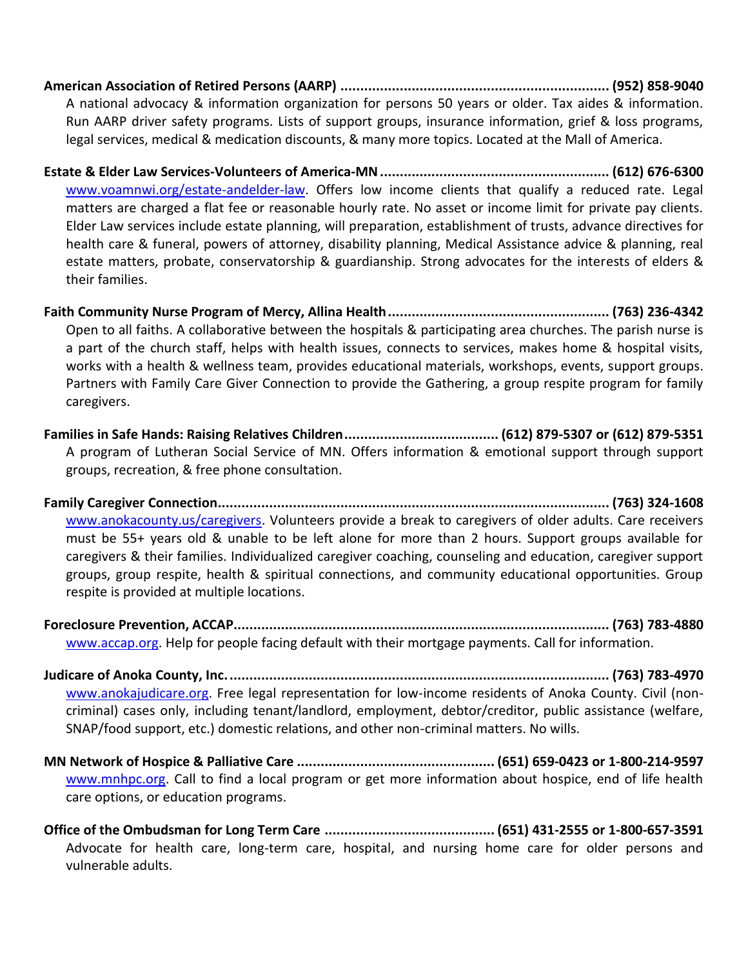**American Association of Retired Persons (AARP) .................................................................... (952) 858-9040** A national advocacy & information organization for persons 50 years or older. Tax aides & information. Run AARP driver safety programs. Lists of support groups, insurance information, grief & loss programs, legal services, medical & medication discounts, & many more topics. Located at the Mall of America.

**Estate & Elder Law Services-Volunteers of America-MN.......................................................... (612) 676-6300** [www.voamnwi.org/estate-andelder-law.](http://www.voamnwi.org/estate-andelder-law) Offers low income clients that qualify a reduced rate. Legal matters are charged a flat fee or reasonable hourly rate. No asset or income limit for private pay clients. Elder Law services include estate planning, will preparation, establishment of trusts, advance directives for health care & funeral, powers of attorney, disability planning, Medical Assistance advice & planning, real estate matters, probate, conservatorship & guardianship. Strong advocates for the interests of elders & their families.

**Faith Community Nurse Program of Mercy, Allina Health........................................................ (763) 236-4342** Open to all faiths. A collaborative between the hospitals & participating area churches. The parish nurse is a part of the church staff, helps with health issues, connects to services, makes home & hospital visits, works with a health & wellness team, provides educational materials, workshops, events, support groups. Partners with Family Care Giver Connection to provide the Gathering, a group respite program for family caregivers.

**Families in Safe Hands: Raising Relatives Children....................................... (612) 879-5307 or (612) 879-5351** A program of Lutheran Social Service of MN. Offers information & emotional support through support groups, recreation, & free phone consultation.

**Family Caregiver Connection................................................................................................... (763) 324-1608** [www.anokacounty.us/caregivers.](http://www.anokacounty.us/caregivers) Volunteers provide a break to caregivers of older adults. Care receivers must be 55+ years old & unable to be left alone for more than 2 hours. Support groups available for caregivers & their families. Individualized caregiver coaching, counseling and education, caregiver support groups, group respite, health & spiritual connections, and community educational opportunities. Group respite is provided at multiple locations.

**Foreclosure Prevention, ACCAP............................................................................................... (763) 783-4880** [www.accap.org.](http://www.accap.org/) Help for people facing default with their mortgage payments. Call for information.

**Judicare of Anoka County, Inc................................................................................................. (763) 783-4970** [www.anokajudicare.org.](http://www.anokajudicare.org/) Free legal representation for low-income residents of Anoka County. Civil (noncriminal) cases only, including tenant/landlord, employment, debtor/creditor, public assistance (welfare, SNAP/food support, etc.) domestic relations, and other non-criminal matters. No wills.

**MN Network of Hospice & Palliative Care .................................................. (651) 659-0423 or 1-800-214-9597** [www.mnhpc.org.](http://www.mnhpc.org/) Call to find a local program or get more information about hospice, end of life health care options, or education programs.

**Office of the Ombudsman for Long Term Care ........................................... (651) 431-2555 or 1-800-657-3591** Advocate for health care, long-term care, hospital, and nursing home care for older persons and vulnerable adults.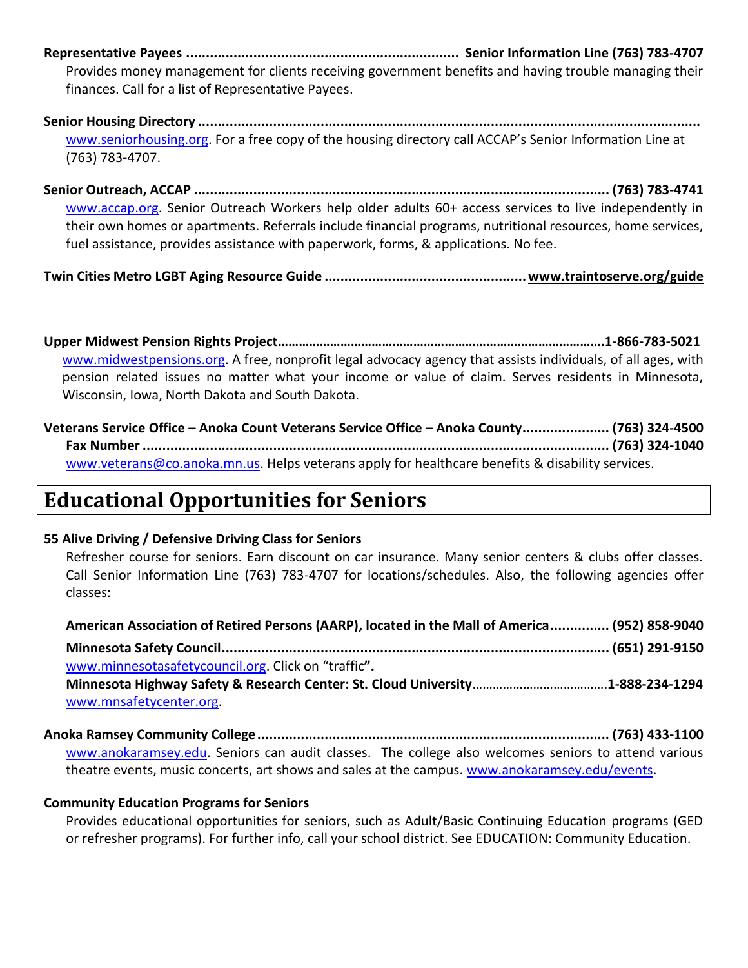**Representative Payees ..................................................................... Senior Information Line (763) 783-4707**

Provides money management for clients receiving government benefits and having trouble managing their finances. Call for a list of Representative Payees.

**Senior Housing Directory ...............................................................................................................................** [www.seniorhousing.org](http://www.seniorhousing.org/). For a free copy of the housing directory call ACCAP's Senior Information Line at (763) 783-4707.

**Senior Outreach, ACCAP ......................................................................................................... (763) 783-4741** [www.accap.org.](http://www.accap.org/) Senior Outreach Workers help older adults 60+ access services to live independently in their own homes or apartments. Referrals include financial programs, nutritional resources, home services, fuel assistance, provides assistance with paperwork, forms, & applications. No fee.

**Twin Cities Metro LGBT Aging Resource Guide ...................................................www.traintoserve.org/guide**

**Upper Midwest Pension Rights Project………………………………………………………………………………….1-866-783-5021** [www.midwestpensions.org.](http://www.midwestpensions.org/) A free, nonprofit legal advocacy agency that assists individuals, of all ages, with pension related issues no matter what your income or value of claim. Serves residents in Minnesota, Wisconsin, Iowa, North Dakota and South Dakota.

| Veterans Service Office - Anoka Count Veterans Service Office - Anoka County (763) 324-4500      |  |
|--------------------------------------------------------------------------------------------------|--|
|                                                                                                  |  |
| www.veterans@co.anoka.mn.us. Helps veterans apply for healthcare benefits & disability services. |  |

# **Educational Opportunities for Seniors**

### **55 Alive Driving / Defensive Driving Class for Seniors**

Refresher course for seniors. Earn discount on car insurance. Many senior centers & clubs offer classes. Call Senior Information Line (763) 783-4707 for locations/schedules. Also, the following agencies offer classes:

| American Association of Retired Persons (AARP), located in the Mall of America (952) 858-9040 |  |
|-----------------------------------------------------------------------------------------------|--|
|                                                                                               |  |
| www.minnesotasafetycouncil.org. Click on "traffic".                                           |  |
|                                                                                               |  |
| www.mnsafetycenter.org                                                                        |  |

**Anoka Ramsey Community College......................................................................................... (763) 433-1100** [www.anokaramsey.edu.](http://www.anokaramsey.edu/) Seniors can audit classes. The college also welcomes seniors to attend various theatre events, music concerts, art shows and sales at the campus. [www.anokaramsey.edu/events.](http://www.anokaramsey.edu/events)

### **Community Education Programs for Seniors**

Provides educational opportunities for seniors, such as Adult/Basic Continuing Education programs (GED or refresher programs). For further info, call your school district. See EDUCATION: Community Education.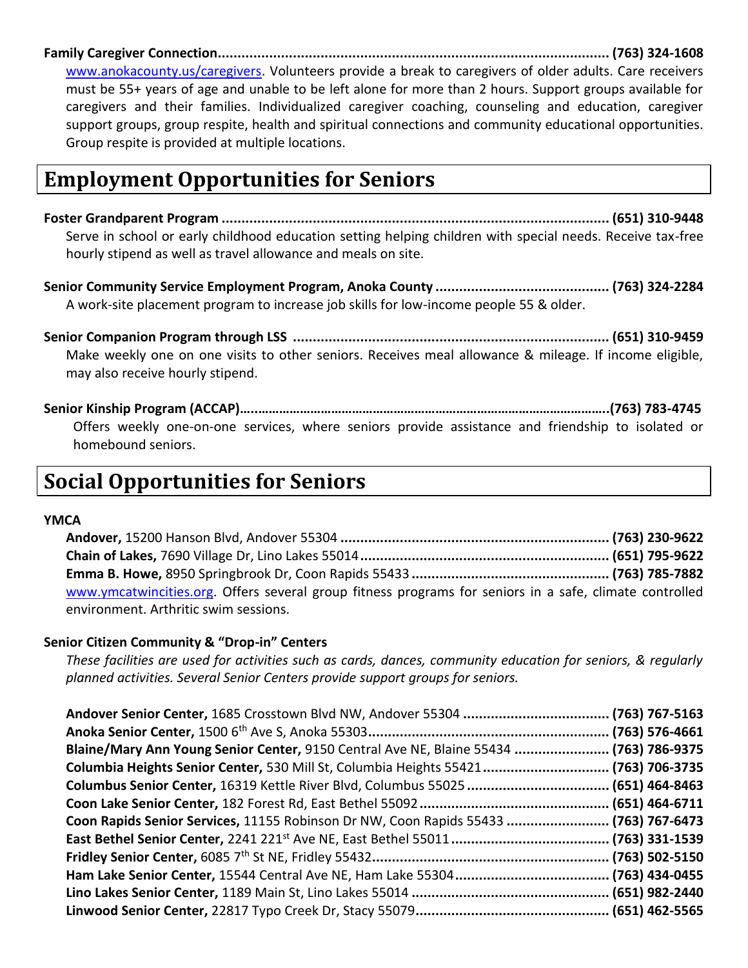**Family Caregiver Connection................................................................................................... (763) 324-1608**

[www.anokacounty.us/caregivers.](http://www.anokacounty.us/caregivers) Volunteers provide a break to caregivers of older adults. Care receivers must be 55+ years of age and unable to be left alone for more than 2 hours. Support groups available for caregivers and their families. Individualized caregiver coaching, counseling and education, caregiver support groups, group respite, health and spiritual connections and community educational opportunities. Group respite is provided at multiple locations.

# **Employment Opportunities for Seniors**

**Foster Grandparent Program .................................................................................................. (651) 310-9448** Serve in school or early childhood education setting helping children with special needs. Receive tax-free hourly stipend as well as travel allowance and meals on site.

**Senior Community Service Employment Program, Anoka County ............................................ (763) 324-2284** A work-site placement program to increase job skills for low-income people 55 & older.

**Senior Companion Program through LSS ................................................................................ (651) 310-9459** Make weekly one on one visits to other seniors. Receives meal allowance & mileage. If income eligible, may also receive hourly stipend.

**Senior Kinship Program (ACCAP)…..………………………………………………………………………………………..(763) 783-4745** Offers weekly one-on-one services, where seniors provide assistance and friendship to isolated or homebound seniors.

# **Social Opportunities for Seniors**

#### **YMCA**

**Andover,** 15200 Hanson Blvd, Andover 55304 **.................................................................... (763) 230-9622 Chain of Lakes,** 7690 Village Dr, Lino Lakes 55014**............................................................... (651) 795-9622 Emma B. Howe,** 8950 Springbrook Dr, Coon Rapids 55433 **.................................................. (763) 785-7882** [www.ymcatwincities.org.](http://www.ymcatwincities.org/) Offers several group fitness programs for seniors in a safe, climate controlled environment. Arthritic swim sessions.

#### **Senior Citizen Community & "Drop-in" Centers**

*These facilities are used for activities such as cards, dances, community education for seniors, & regularly planned activities. Several Senior Centers provide support groups for seniors.* 

| Blaine/Mary Ann Young Senior Center, 9150 Central Ave NE, Blaine 55434  (763) 786-9375 |  |
|----------------------------------------------------------------------------------------|--|
| Columbia Heights Senior Center, 530 Mill St, Columbia Heights 55421 (763) 706-3735     |  |
|                                                                                        |  |
|                                                                                        |  |
| Coon Rapids Senior Services, 11155 Robinson Dr NW, Coon Rapids 55433  (763) 767-6473   |  |
|                                                                                        |  |
|                                                                                        |  |
|                                                                                        |  |
|                                                                                        |  |
|                                                                                        |  |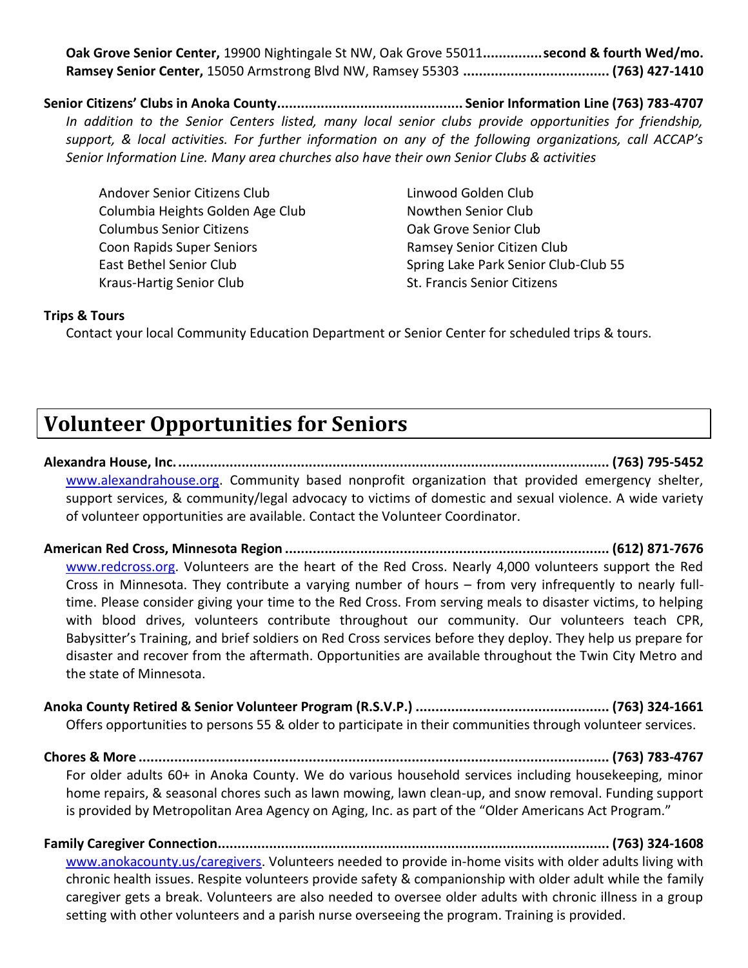**Oak Grove Senior Center,** 19900 Nightingale St NW, Oak Grove 55011**...............second & fourth Wed/mo. Ramsey Senior Center,** 15050 Armstrong Blvd NW, Ramsey 55303 **..................................... (763) 427-1410**

**Senior Citizens' Clubs in Anoka County............................................... Senior Information Line (763) 783-4707** *In addition to the Senior Centers listed, many local senior clubs provide opportunities for friendship, support, & local activities. For further information on any of the following organizations, call ACCAP's Senior Information Line. Many area churches also have their own Senior Clubs & activities*

Andover Senior Citizens Club Linwood Golden Club Columbia Heights Golden Age Club Nowthen Senior Club Columbus Senior Citizens Oak Grove Senior Club Coon Rapids Super Seniors Ramsey Senior Citizen Club Kraus-Hartig Senior Club St. Francis Senior Citizens

East Bethel Senior Club Spring Lake Park Senior Club-Club 55

#### **Trips & Tours**

Contact your local Community Education Department or Senior Center for scheduled trips & tours.

# **Volunteer Opportunities for Seniors**

**Alexandra House, Inc.............................................................................................................. (763) 795-5452** [www.alexandrahouse.org.](http://www.alexandrahouse.org/) Community based nonprofit organization that provided emergency shelter, support services, & community/legal advocacy to victims of domestic and sexual violence. A wide variety of volunteer opportunities are available. Contact the Volunteer Coordinator.

**American Red Cross, Minnesota Region .................................................................................. (612) 871-7676** [www.redcross.org.](http://www.redcross.org/) Volunteers are the heart of the Red Cross. Nearly 4,000 volunteers support the Red Cross in Minnesota. They contribute a varying number of hours – from very infrequently to nearly fulltime. Please consider giving your time to the Red Cross. From serving meals to disaster victims, to helping with blood drives, volunteers contribute throughout our community. Our volunteers teach CPR, Babysitter's Training, and brief soldiers on Red Cross services before they deploy. They help us prepare for disaster and recover from the aftermath. Opportunities are available throughout the Twin City Metro and the state of Minnesota.

**Anoka County Retired & Senior Volunteer Program (R.S.V.P.) ................................................. (763) 324-1661** Offers opportunities to persons 55 & older to participate in their communities through volunteer services.

**Chores & More ....................................................................................................................... (763) 783-4767** For older adults 60+ in Anoka County. We do various household services including housekeeping, minor home repairs, & seasonal chores such as lawn mowing, lawn clean-up, and snow removal. Funding support is provided by Metropolitan Area Agency on Aging, Inc. as part of the "Older Americans Act Program."

**Family Caregiver Connection................................................................................................... (763) 324-1608** [www.anokacounty.us/caregivers.](http://www.anokacounty.us/caregivers) Volunteers needed to provide in-home visits with older adults living with chronic health issues. Respite volunteers provide safety & companionship with older adult while the family caregiver gets a break. Volunteers are also needed to oversee older adults with chronic illness in a group setting with other volunteers and a parish nurse overseeing the program. Training is provided.